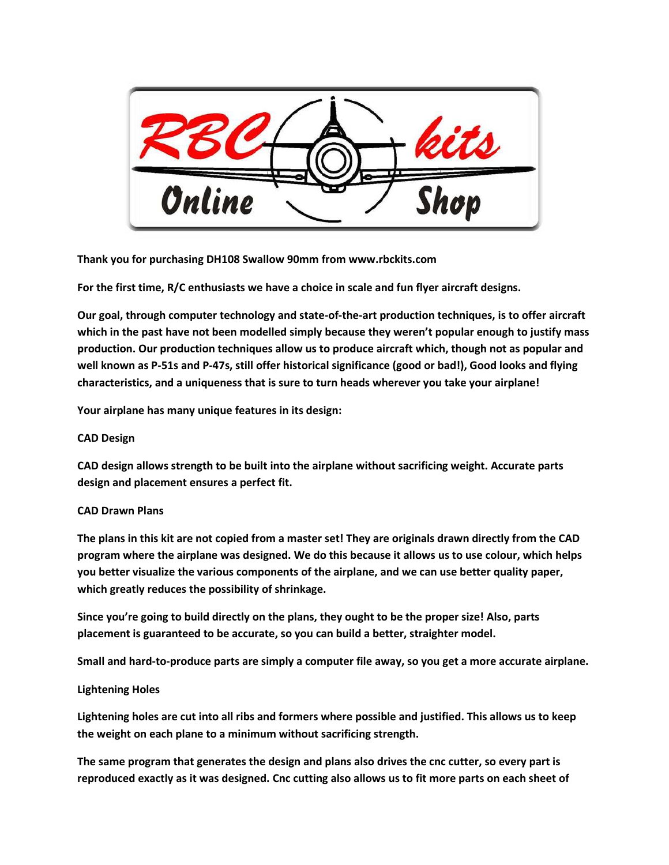

**Thank you for purchasing DH108 Swallow 90mm from www.rbckits.com**

**For the first time, R/C enthusiasts we have a choice in scale and fun flyer aircraft designs.** 

**Our goal, through computer technology and state-of-the-art production techniques, is to offer aircraft which in the past have not been modelled simply because they weren't popular enough to justify mass production. Our production techniques allow us to produce aircraft which, though not as popular and well known as P-51s and P-47s, still offer historical significance (good or bad!), Good looks and flying characteristics, and a uniqueness that is sure to turn heads wherever you take your airplane!**

**Your airplane has many unique features in its design:**

# **CAD Design**

**CAD design allows strength to be built into the airplane without sacrificing weight. Accurate parts design and placement ensures a perfect fit.**

# **CAD Drawn Plans**

**The plans in this kit are not copied from a master set! They are originals drawn directly from the CAD program where the airplane was designed. We do this because it allows us to use colour, which helps you better visualize the various components of the airplane, and we can use better quality paper, which greatly reduces the possibility of shrinkage.**

**Since you're going to build directly on the plans, they ought to be the proper size! Also, parts placement is guaranteed to be accurate, so you can build a better, straighter model.**

**Small and hard-to-produce parts are simply a computer file away, so you get a more accurate airplane.**

# **Lightening Holes**

**Lightening holes are cut into all ribs and formers where possible and justified. This allows us to keep the weight on each plane to a minimum without sacrificing strength.**

**The same program that generates the design and plans also drives the cnc cutter, so every part is reproduced exactly as it was designed. Cnc cutting also allows us to fit more parts on each sheet of**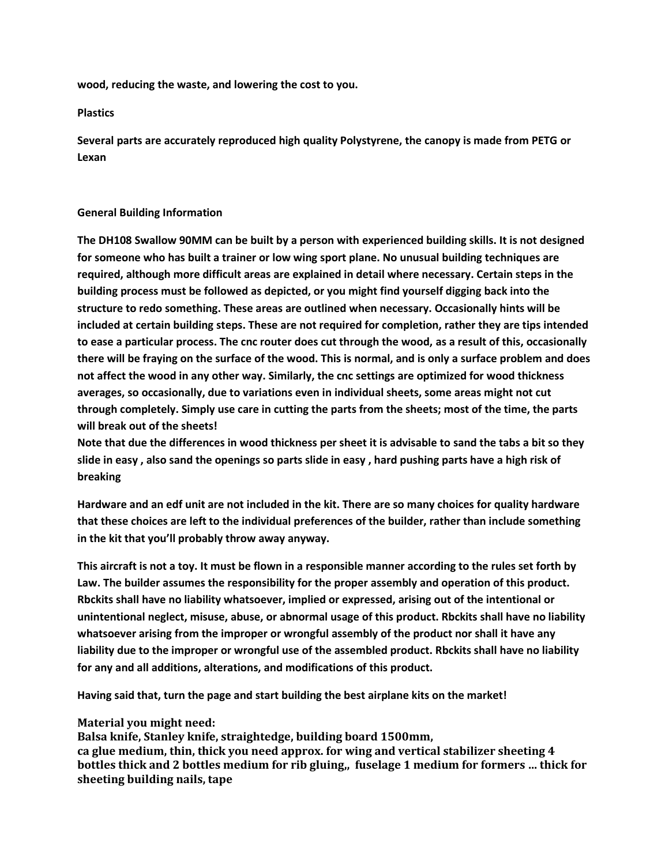**wood, reducing the waste, and lowering the cost to you.**

**Plastics**

**Several parts are accurately reproduced high quality Polystyrene, the canopy is made from PETG or Lexan**

### **General Building Information**

**The DH108 Swallow 90MM can be built by a person with experienced building skills. It is not designed for someone who has built a trainer or low wing sport plane. No unusual building techniques are required, although more difficult areas are explained in detail where necessary. Certain steps in the building process must be followed as depicted, or you might find yourself digging back into the structure to redo something. These areas are outlined when necessary. Occasionally hints will be included at certain building steps. These are not required for completion, rather they are tips intended to ease a particular process. The cnc router does cut through the wood, as a result of this, occasionally there will be fraying on the surface of the wood. This is normal, and is only a surface problem and does not affect the wood in any other way. Similarly, the cnc settings are optimized for wood thickness averages, so occasionally, due to variations even in individual sheets, some areas might not cut through completely. Simply use care in cutting the parts from the sheets; most of the time, the parts will break out of the sheets!** 

**Note that due the differences in wood thickness per sheet it is advisable to sand the tabs a bit so they slide in easy , also sand the openings so parts slide in easy , hard pushing parts have a high risk of breaking**

**Hardware and an edf unit are not included in the kit. There are so many choices for quality hardware that these choices are left to the individual preferences of the builder, rather than include something in the kit that you'll probably throw away anyway.** 

**This aircraft is not a toy. It must be flown in a responsible manner according to the rules set forth by Law. The builder assumes the responsibility for the proper assembly and operation of this product. Rbckits shall have no liability whatsoever, implied or expressed, arising out of the intentional or unintentional neglect, misuse, abuse, or abnormal usage of this product. Rbckits shall have no liability whatsoever arising from the improper or wrongful assembly of the product nor shall it have any liability due to the improper or wrongful use of the assembled product. Rbckits shall have no liability for any and all additions, alterations, and modifications of this product.**

**Having said that, turn the page and start building the best airplane kits on the market!** 

# **Material you might need:**

**Balsa knife, Stanley knife, straightedge, building board 1500mm, ca glue medium, thin, thick you need approx. for wing and vertical stabilizer sheeting 4 bottles thick and 2 bottles medium for rib gluing,, fuselage 1 medium for formers … thick for sheeting building nails, tape**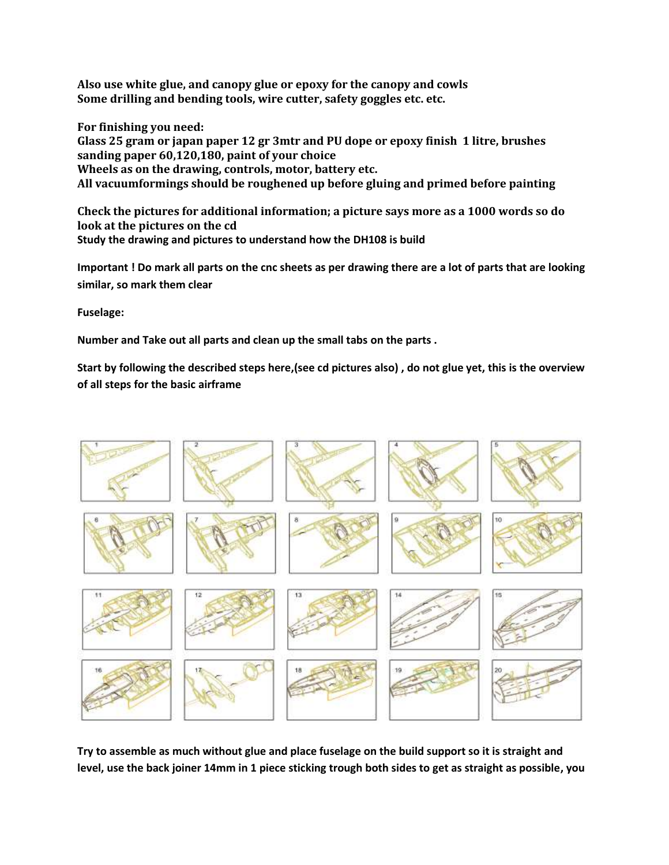**Also use white glue, and canopy glue or epoxy for the canopy and cowls Some drilling and bending tools, wire cutter, safety goggles etc. etc.**

**For finishing you need:**

**Glass 25 gram or japan paper 12 gr 3mtr and PU dope or epoxy finish 1 litre, brushes sanding paper 60,120,180, paint of your choice Wheels as on the drawing, controls, motor, battery etc. All vacuumformings should be roughened up before gluing and primed before painting**

**Check the pictures for additional information; a picture says more as a 1000 words so do look at the pictures on the cd Study the drawing and pictures to understand how the DH108 is build** 

**Important ! Do mark all parts on the cnc sheets as per drawing there are a lot of parts that are looking similar, so mark them clear**

**Fuselage:**

**Number and Take out all parts and clean up the small tabs on the parts .**

**Start by following the described steps here,(see cd pictures also) , do not glue yet, this is the overview of all steps for the basic airframe**



**Try to assemble as much without glue and place fuselage on the build support so it is straight and level, use the back joiner 14mm in 1 piece sticking trough both sides to get as straight as possible, you**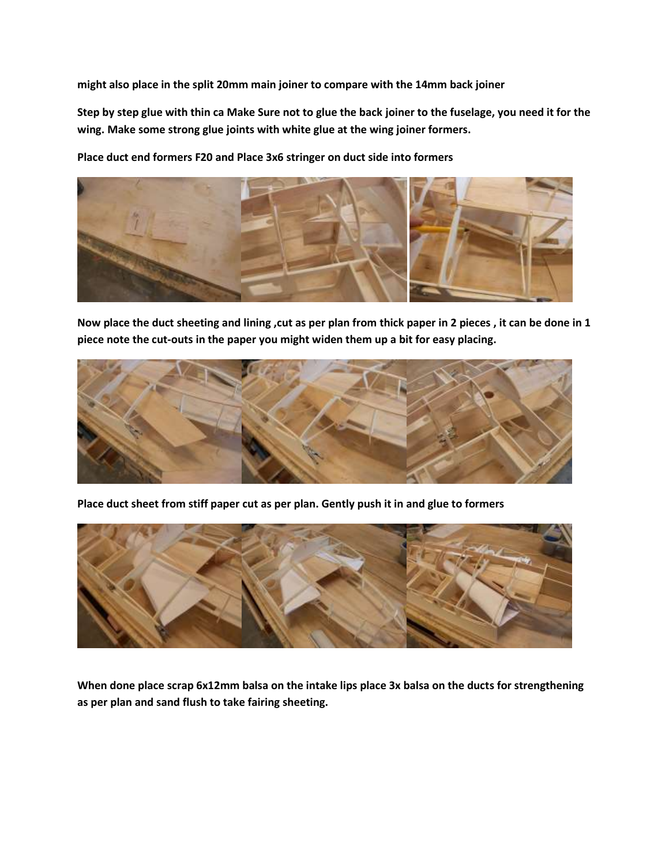**might also place in the split 20mm main joiner to compare with the 14mm back joiner**

**Step by step glue with thin ca Make Sure not to glue the back joiner to the fuselage, you need it for the wing. Make some strong glue joints with white glue at the wing joiner formers.** 

**Place duct end formers F20 and Place 3x6 stringer on duct side into formers**



**Now place the duct sheeting and lining ,cut as per plan from thick paper in 2 pieces , it can be done in 1 piece note the cut-outs in the paper you might widen them up a bit for easy placing.**



**Place duct sheet from stiff paper cut as per plan. Gently push it in and glue to formers**



**When done place scrap 6x12mm balsa on the intake lips place 3x balsa on the ducts for strengthening as per plan and sand flush to take fairing sheeting.**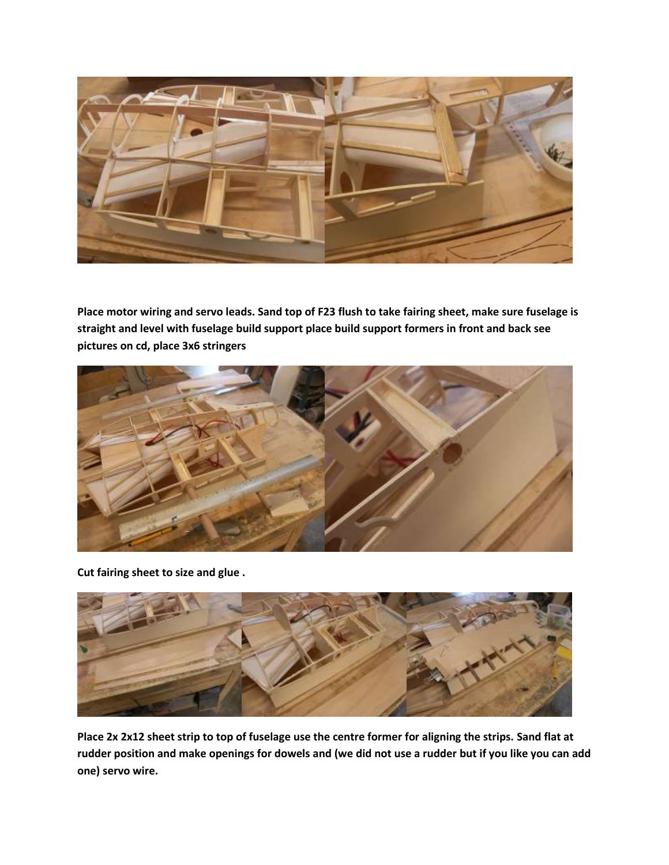

**Place motor wiring and servo leads. Sand top of F23 flush to take fairing sheet, make sure fuselage is straight and level with fuselage build support place build support formers in front and back see pictures on cd, place 3x6 stringers**



**Cut fairing sheet to size and glue .**



**Place 2x 2x12 sheet strip to top of fuselage use the centre former for aligning the strips. Sand flat at rudder position and make openings for dowels and (we did not use a rudder but if you like you can add one) servo wire.**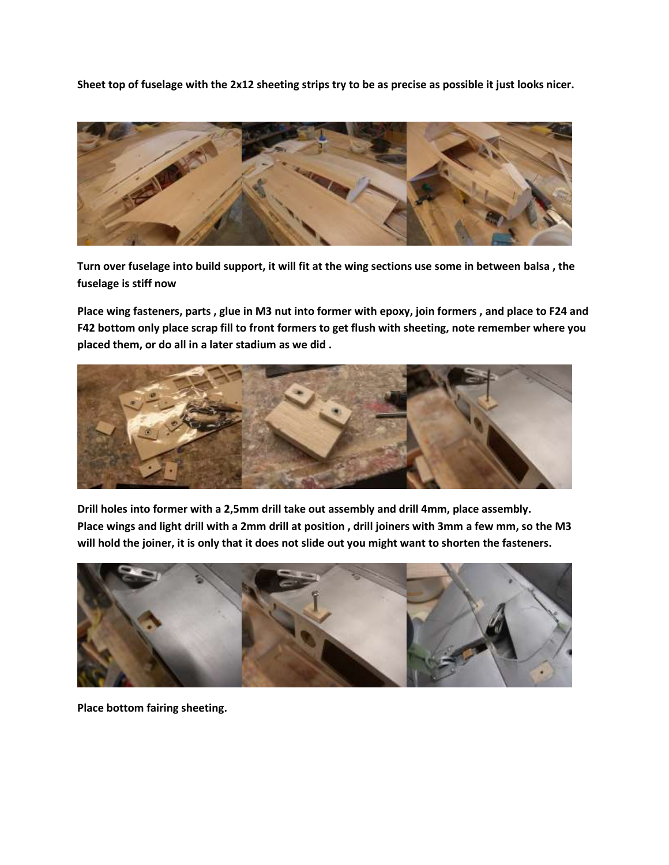**Sheet top of fuselage with the 2x12 sheeting strips try to be as precise as possible it just looks nicer.**



**Turn over fuselage into build support, it will fit at the wing sections use some in between balsa , the fuselage is stiff now**

**Place wing fasteners, parts , glue in M3 nut into former with epoxy, join formers , and place to F24 and F42 bottom only place scrap fill to front formers to get flush with sheeting, note remember where you placed them, or do all in a later stadium as we did .**



**Drill holes into former with a 2,5mm drill take out assembly and drill 4mm, place assembly. Place wings and light drill with a 2mm drill at position , drill joiners with 3mm a few mm, so the M3 will hold the joiner, it is only that it does not slide out you might want to shorten the fasteners.**



**Place bottom fairing sheeting.**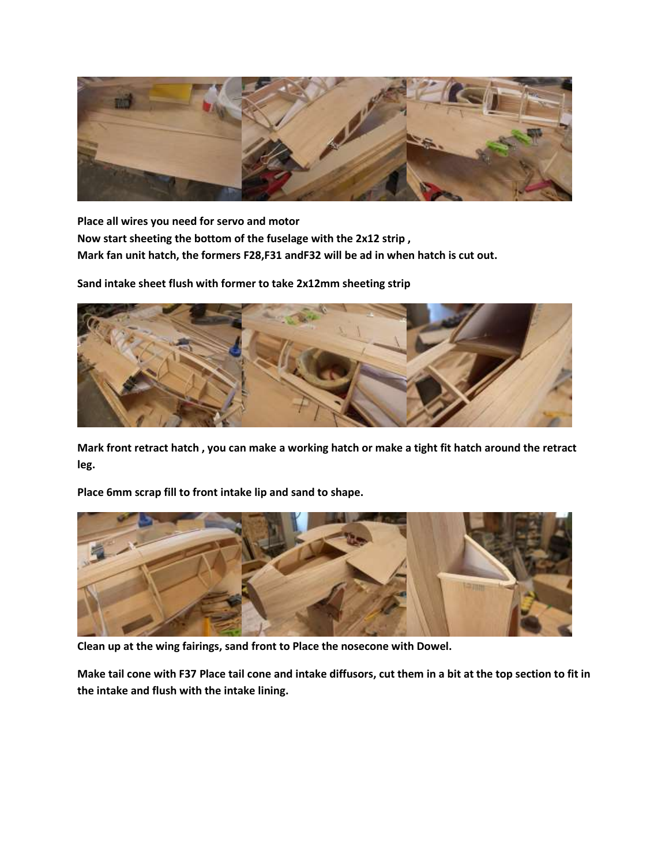

**Place all wires you need for servo and motor Now start sheeting the bottom of the fuselage with the 2x12 strip , Mark fan unit hatch, the formers F28,F31 andF32 will be ad in when hatch is cut out.**

**Sand intake sheet flush with former to take 2x12mm sheeting strip**



**Mark front retract hatch , you can make a working hatch or make a tight fit hatch around the retract leg.**

**Place 6mm scrap fill to front intake lip and sand to shape.**



**Clean up at the wing fairings, sand front to Place the nosecone with Dowel.**

**Make tail cone with F37 Place tail cone and intake diffusors, cut them in a bit at the top section to fit in the intake and flush with the intake lining.**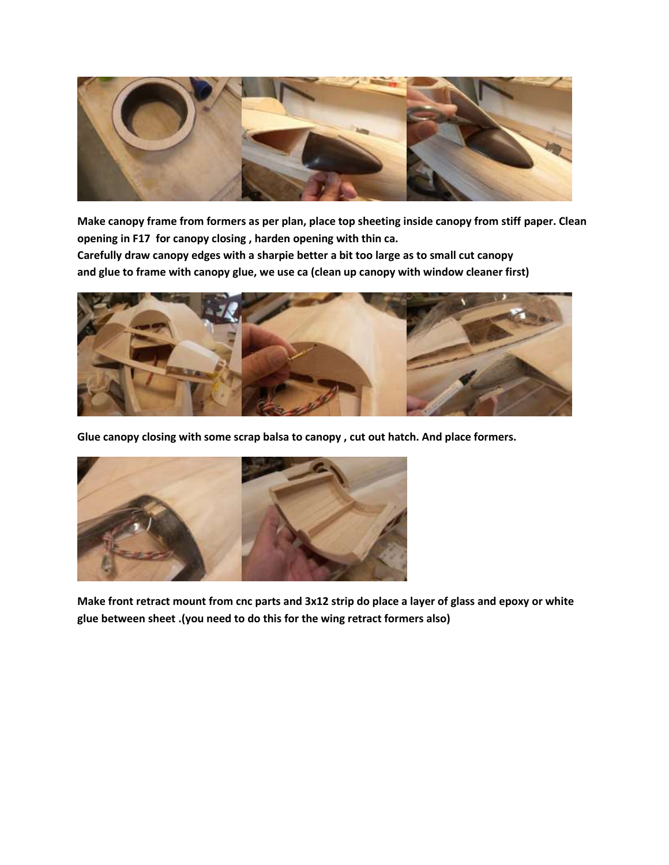

**Make canopy frame from formers as per plan, place top sheeting inside canopy from stiff paper. Clean opening in F17 for canopy closing , harden opening with thin ca.**

**Carefully draw canopy edges with a sharpie better a bit too large as to small cut canopy and glue to frame with canopy glue, we use ca (clean up canopy with window cleaner first)**



**Glue canopy closing with some scrap balsa to canopy , cut out hatch. And place formers.**



**Make front retract mount from cnc parts and 3x12 strip do place a layer of glass and epoxy or white glue between sheet .(you need to do this for the wing retract formers also)**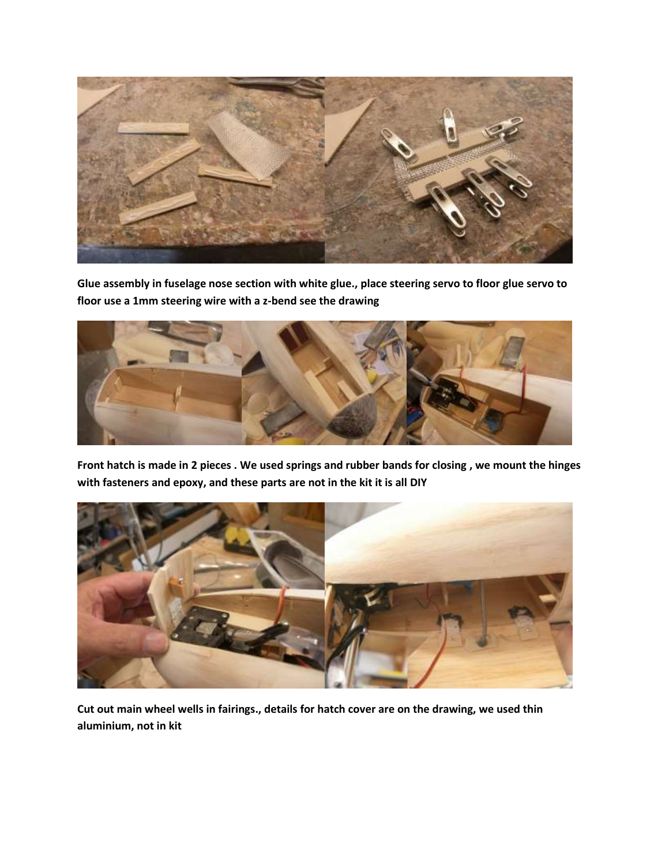

**Glue assembly in fuselage nose section with white glue., place steering servo to floor glue servo to floor use a 1mm steering wire with a z-bend see the drawing**



**Front hatch is made in 2 pieces . We used springs and rubber bands for closing , we mount the hinges with fasteners and epoxy, and these parts are not in the kit it is all DIY**



**Cut out main wheel wells in fairings., details for hatch cover are on the drawing, we used thin aluminium, not in kit**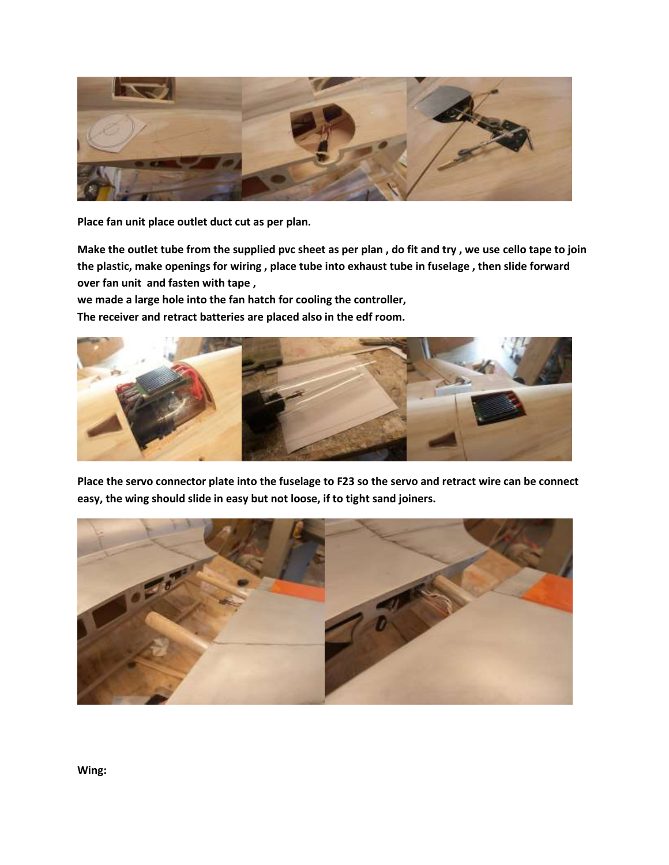

**Place fan unit place outlet duct cut as per plan.**

**Make the outlet tube from the supplied pvc sheet as per plan , do fit and try , we use cello tape to join the plastic, make openings for wiring , place tube into exhaust tube in fuselage , then slide forward over fan unit and fasten with tape ,**

**we made a large hole into the fan hatch for cooling the controller,**

**The receiver and retract batteries are placed also in the edf room.**



**Place the servo connector plate into the fuselage to F23 so the servo and retract wire can be connect easy, the wing should slide in easy but not loose, if to tight sand joiners.**



**Wing:**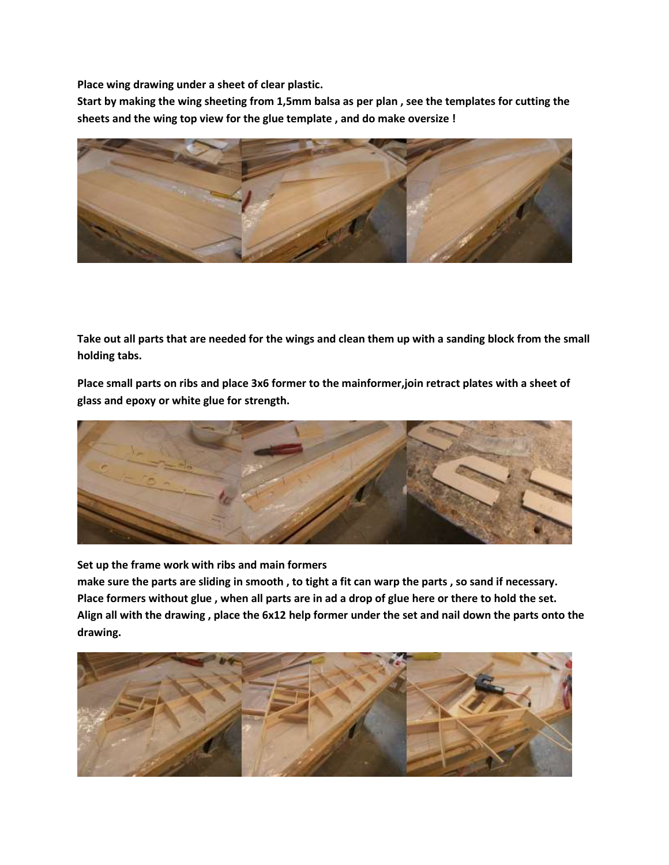**Place wing drawing under a sheet of clear plastic.**

**Start by making the wing sheeting from 1,5mm balsa as per plan , see the templates for cutting the sheets and the wing top view for the glue template , and do make oversize !**



**Take out all parts that are needed for the wings and clean them up with a sanding block from the small holding tabs.**

**Place small parts on ribs and place 3x6 former to the mainformer,join retract plates with a sheet of glass and epoxy or white glue for strength.**



**Set up the frame work with ribs and main formers**

**make sure the parts are sliding in smooth , to tight a fit can warp the parts , so sand if necessary. Place formers without glue , when all parts are in ad a drop of glue here or there to hold the set. Align all with the drawing , place the 6x12 help former under the set and nail down the parts onto the drawing.**

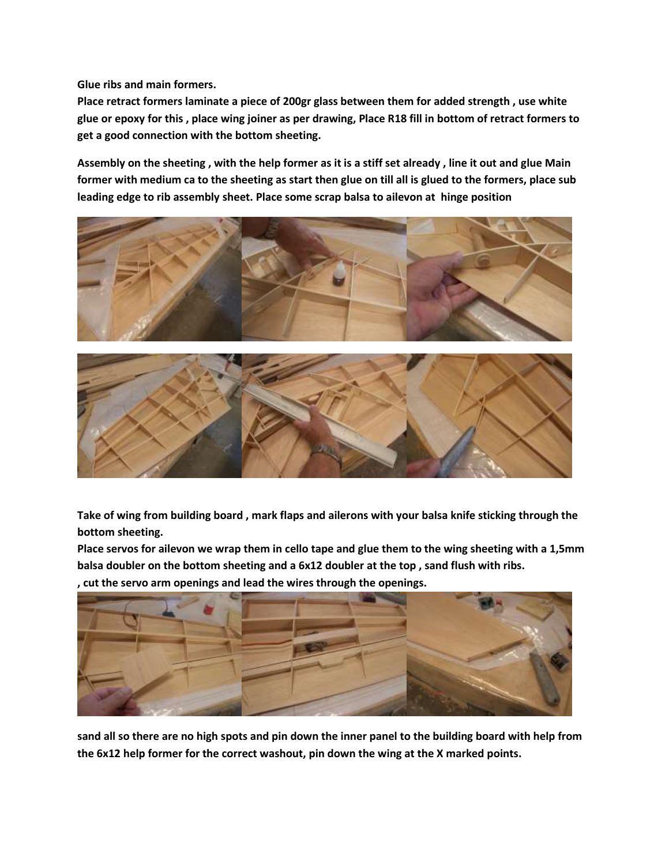**Glue ribs and main formers.**

**Place retract formers laminate a piece of 200gr glass between them for added strength , use white glue or epoxy for this , place wing joiner as per drawing, Place R18 fill in bottom of retract formers to get a good connection with the bottom sheeting.**

**Assembly on the sheeting , with the help former as it is a stiff set already , line it out and glue Main former with medium ca to the sheeting as start then glue on till all is glued to the formers, place sub leading edge to rib assembly sheet. Place some scrap balsa to ailevon at hinge position**





**Take of wing from building board , mark flaps and ailerons with your balsa knife sticking through the bottom sheeting.**

**Place servos for ailevon we wrap them in cello tape and glue them to the wing sheeting with a 1,5mm balsa doubler on the bottom sheeting and a 6x12 doubler at the top , sand flush with ribs.**

**, cut the servo arm openings and lead the wires through the openings.**



**sand all so there are no high spots and pin down the inner panel to the building board with help from the 6x12 help former for the correct washout, pin down the wing at the X marked points.**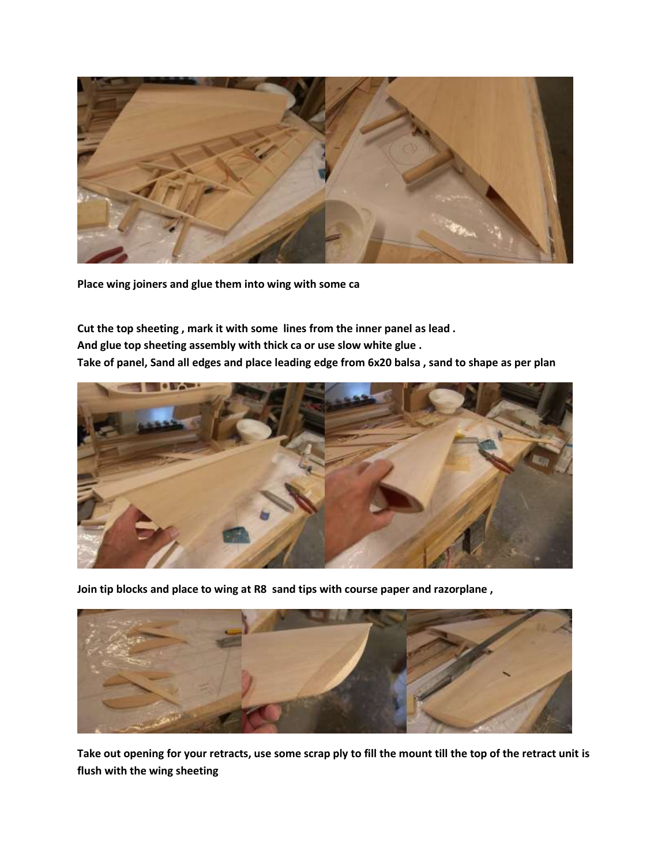

**Place wing joiners and glue them into wing with some ca**

**Cut the top sheeting , mark it with some lines from the inner panel as lead . And glue top sheeting assembly with thick ca or use slow white glue . Take of panel, Sand all edges and place leading edge from 6x20 balsa , sand to shape as per plan**



**Join tip blocks and place to wing at R8 sand tips with course paper and razorplane ,** 



**Take out opening for your retracts, use some scrap ply to fill the mount till the top of the retract unit is flush with the wing sheeting**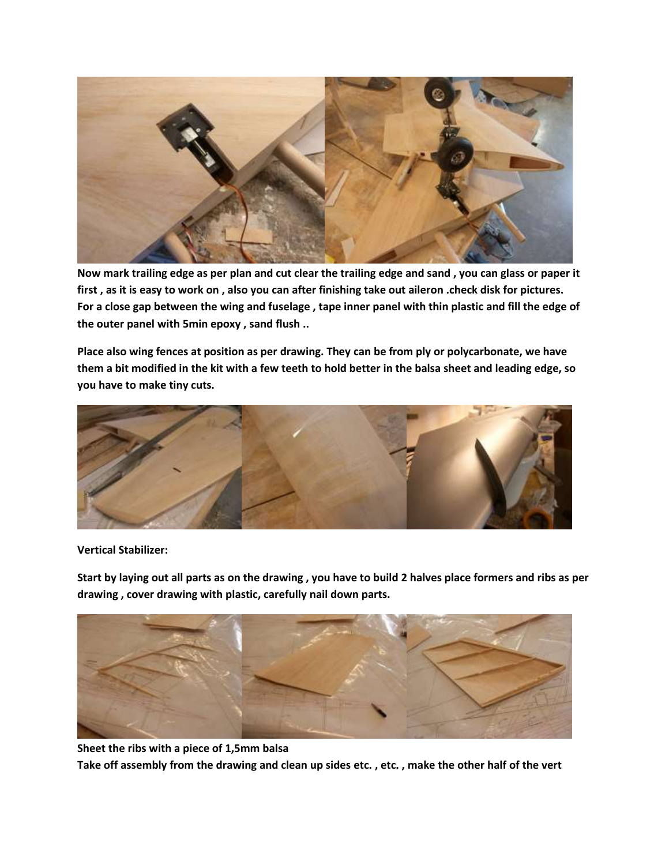

**Now mark trailing edge as per plan and cut clear the trailing edge and sand , you can glass or paper it first , as it is easy to work on , also you can after finishing take out aileron .check disk for pictures. For a close gap between the wing and fuselage , tape inner panel with thin plastic and fill the edge of the outer panel with 5min epoxy , sand flush ..** 

**Place also wing fences at position as per drawing. They can be from ply or polycarbonate, we have them a bit modified in the kit with a few teeth to hold better in the balsa sheet and leading edge, so you have to make tiny cuts.**



**Vertical Stabilizer:**

**Start by laying out all parts as on the drawing , you have to build 2 halves place formers and ribs as per drawing , cover drawing with plastic, carefully nail down parts.**



**Sheet the ribs with a piece of 1,5mm balsa Take off assembly from the drawing and clean up sides etc. , etc. , make the other half of the vert**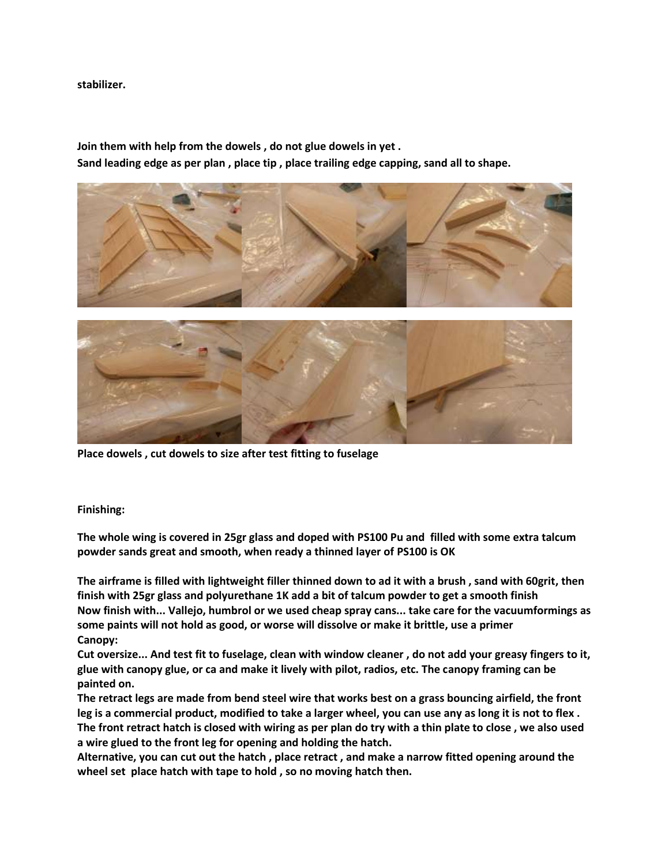### **stabilizer.**

**Join them with help from the dowels , do not glue dowels in yet . Sand leading edge as per plan , place tip , place trailing edge capping, sand all to shape.**



**Place dowels , cut dowels to size after test fitting to fuselage**

# **Finishing:**

**The whole wing is covered in 25gr glass and doped with PS100 Pu and filled with some extra talcum powder sands great and smooth, when ready a thinned layer of PS100 is OK**

**The airframe is filled with lightweight filler thinned down to ad it with a brush , sand with 60grit, then finish with 25gr glass and polyurethane 1K add a bit of talcum powder to get a smooth finish Now finish with... Vallejo, humbrol or we used cheap spray cans... take care for the vacuumformings as some paints will not hold as good, or worse will dissolve or make it brittle, use a primer Canopy:**

**Cut oversize... And test fit to fuselage, clean with window cleaner , do not add your greasy fingers to it, glue with canopy glue, or ca and make it lively with pilot, radios, etc. The canopy framing can be painted on.**

**The retract legs are made from bend steel wire that works best on a grass bouncing airfield, the front leg is a commercial product, modified to take a larger wheel, you can use any as long it is not to flex . The front retract hatch is closed with wiring as per plan do try with a thin plate to close , we also used a wire glued to the front leg for opening and holding the hatch.**

**Alternative, you can cut out the hatch , place retract , and make a narrow fitted opening around the wheel set place hatch with tape to hold , so no moving hatch then.**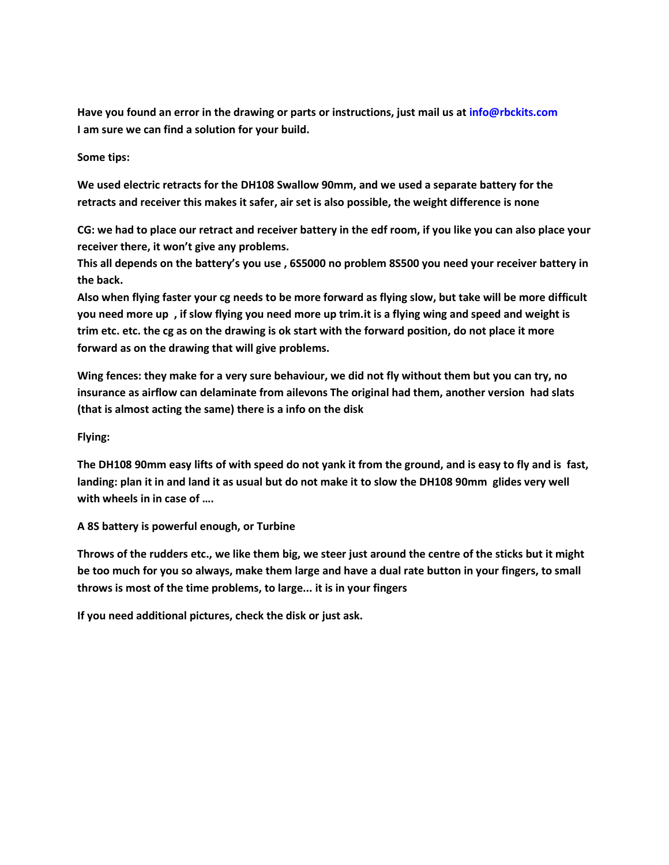**Have you found an error in the drawing or parts or instructions, just mail us a[t info@rbckits.com](mailto:info@rbckits.com) [I am sure we can find a solution for your build.](mailto:info@rbckits.com)**

**Some tips:**

**We used electric retracts for the DH108 Swallow 90mm, and we used a separate battery for the retracts and receiver this makes it safer, air set is also possible, the weight difference is none**

**CG: we had to place our retract and receiver battery in the edf room, if you like you can also place your receiver there, it won't give any problems.**

**This all depends on the battery's you use , 6S5000 no problem 8S500 you need your receiver battery in the back.**

**Also when flying faster your cg needs to be more forward as flying slow, but take will be more difficult you need more up , if slow flying you need more up trim.it is a flying wing and speed and weight is trim etc. etc. the cg as on the drawing is ok start with the forward position, do not place it more forward as on the drawing that will give problems.**

**Wing fences: they make for a very sure behaviour, we did not fly without them but you can try, no insurance as airflow can delaminate from ailevons The original had them, another version had slats (that is almost acting the same) there is a info on the disk** 

**Flying:**

**The DH108 90mm easy lifts of with speed do not yank it from the ground, and is easy to fly and is fast, landing: plan it in and land it as usual but do not make it to slow the DH108 90mm glides very well with wheels in in case of ….**

**A 8S battery is powerful enough, or Turbine**

**Throws of the rudders etc., we like them big, we steer just around the centre of the sticks but it might be too much for you so always, make them large and have a dual rate button in your fingers, to small throws is most of the time problems, to large... it is in your fingers**

**If you need additional pictures, check the disk or just ask.**